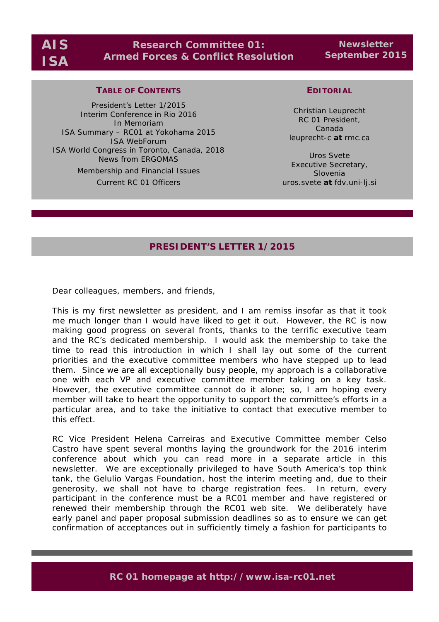# **Research Committee 01: Armed Forces & Conflict Resolution**

**Newsletter September 2015**

## **TABLE OF CONTENTS**

President's Letter 1/2015 Interim Conference in Rio 2016 In Memoriam ISA Summary – RC01 at Yokohama 2015 ISA WebForum ISA World Congress in Toronto, Canada, 2018 News from ERGOMAS Membership and Financial Issues Current RC 01 Officers

## **EDITORIAL**

Christian Leuprecht RC 01 President, Canada leuprecht-c *at* rmc.ca

Uros Svete Executive Secretary, Slovenia uros.svete *at* fdv.uni-lj.si

## **PRESIDENT'S LETTER 1/2015**

Dear colleagues, members, and friends,

This is my first newsletter as president, and I am remiss insofar as that it took me much longer than I would have liked to get it out. However, the RC is now making good progress on several fronts, thanks to the terrific executive team and the RC's dedicated membership. I would ask the membership to take the time to read this introduction in which I shall lay out some of the current priorities and the executive committee members who have stepped up to lead them. Since we are all exceptionally busy people, my approach is a collaborative one with each VP and executive committee member taking on a key task. However, the executive committee cannot do it alone; so, I am hoping every member will take to heart the opportunity to support the committee's efforts in a particular area, and to take the initiative to contact that executive member to this effect.

RC Vice President Helena Carreiras and Executive Committee member Celso Castro have spent several months laying the groundwork for the 2016 interim conference about which you can read more in a separate article in this newsletter. We are exceptionally privileged to have South America's top think tank, the Gelulio Vargas Foundation, host the interim meeting and, due to their generosity, we shall not have to charge registration fees. In return, every participant in the conference must be a RC01 member and have registered or renewed their membership through the RC01 web site. We deliberately have early panel and paper proposal submission deadlines so as to ensure we can get confirmation of acceptances out in sufficiently timely a fashion for participants to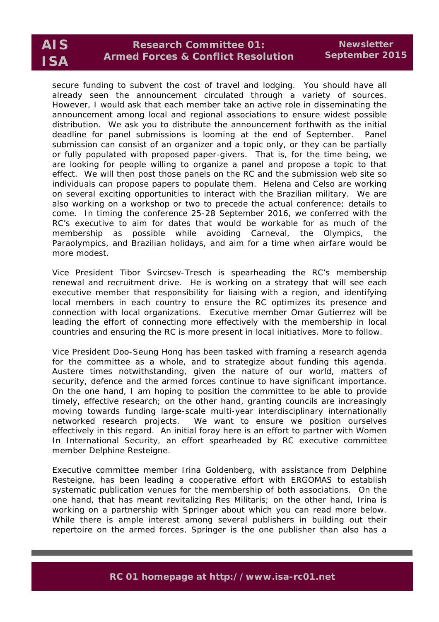# **Research Committee 01: Armed Forces & Conflict Resolution**

secure funding to subvent the cost of travel and lodging. You should have all already seen the announcement circulated through a variety of sources. However, I would ask that each member take an active role in disseminating the announcement among local and regional associations to ensure widest possible distribution. We ask you to distribute the announcement forthwith as the initial deadline for panel submissions is looming at the end of September. Panel submission can consist of an organizer and a topic only, or they can be partially or fully populated with proposed paper-givers. That is, for the time being, we are looking for people willing to organize a panel and propose a topic to that effect. We will then post those panels on the RC and the submission web site so individuals can propose papers to populate them. Helena and Celso are working on several exciting opportunities to interact with the Brazilian military. We are also working on a workshop or two to precede the actual conference; details to come. In timing the conference 25-28 September 2016, we conferred with the RC's executive to aim for dates that would be workable for as much of the membership as possible while avoiding Carneval, the Olympics, the Paraolympics, and Brazilian holidays, and aim for a time when airfare would be more modest.

Vice President Tibor Svircsev-Tresch is spearheading the RC's membership renewal and recruitment drive. He is working on a strategy that will see each executive member that responsibility for liaising with a region, and identifying local members in each country to ensure the RC optimizes its presence and connection with local organizations. Executive member Omar Gutierrez will be leading the effort of connecting more effectively with the membership in local countries and ensuring the RC is more present in local initiatives. More to follow.

Vice President Doo-Seung Hong has been tasked with framing a research agenda for the committee as a whole, and to strategize about funding this agenda. Austere times notwithstanding, given the nature of our world, matters of security, defence and the armed forces continue to have significant importance. On the one hand, I am hoping to position the committee to be able to provide timely, effective research; on the other hand, granting councils are increasingly moving towards funding large-scale multi-year interdisciplinary internationally networked research projects. We want to ensure we position ourselves effectively in this regard. An initial foray here is an effort to partner with Women In International Security, an effort spearheaded by RC executive committee member Delphine Resteigne.

Executive committee member Irina Goldenberg, with assistance from Delphine Resteigne, has been leading a cooperative effort with ERGOMAS to establish systematic publication venues for the membership of both associations. On the one hand, that has meant revitalizing Res Militaris; on the other hand, Irina is working on a partnership with Springer about which you can read more below. While there is ample interest among several publishers in building out their repertoire on the armed forces, Springer is the one publisher than also has a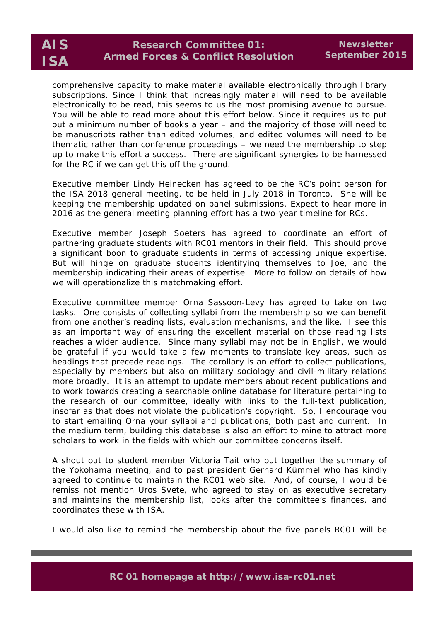comprehensive capacity to make material available electronically through library subscriptions. Since I think that increasingly material will need to be available electronically to be read, this seems to us the most promising avenue to pursue. You will be able to read more about this effort below. Since it requires us to put out a minimum number of books a year – and the majority of those will need to be manuscripts rather than edited volumes, and edited volumes will need to be thematic rather than conference proceedings – we need the membership to step up to make this effort a success. There are significant synergies to be harnessed for the RC if we can get this off the ground.

Executive member Lindy Heinecken has agreed to be the RC's point person for the ISA 2018 general meeting, to be held in July 2018 in Toronto. She will be keeping the membership updated on panel submissions. Expect to hear more in 2016 as the general meeting planning effort has a two-year timeline for RCs.

Executive member Joseph Soeters has agreed to coordinate an effort of partnering graduate students with RC01 mentors in their field. This should prove a significant boon to graduate students in terms of accessing unique expertise. But will hinge on graduate students identifying themselves to Joe, and the membership indicating their areas of expertise. More to follow on details of how we will operationalize this matchmaking effort.

Executive committee member Orna Sassoon-Levy has agreed to take on two tasks. One consists of collecting syllabi from the membership so we can benefit from one another's reading lists, evaluation mechanisms, and the like. I see this as an important way of ensuring the excellent material on those reading lists reaches a wider audience. Since many syllabi may not be in English, we would be grateful if you would take a few moments to translate key areas, such as headings that precede readings. The corollary is an effort to collect publications, especially by members but also on military sociology and civil-military relations more broadly. It is an attempt to update members about recent publications and to work towards creating a searchable online database for literature pertaining to the research of our committee, ideally with links to the full-text publication, insofar as that does not violate the publication's copyright. So, I encourage you to start emailing Orna your syllabi and publications, both past and current. In the medium term, building this database is also an effort to mine to attract more scholars to work in the fields with which our committee concerns itself.

A shout out to student member Victoria Tait who put together the summary of the Yokohama meeting, and to past president Gerhard Kümmel who has kindly agreed to continue to maintain the RC01 web site. And, of course, I would be remiss not mention Uros Svete, who agreed to stay on as executive secretary and maintains the membership list, looks after the committee's finances, and coordinates these with ISA.

I would also like to remind the membership about the five panels RC01 will be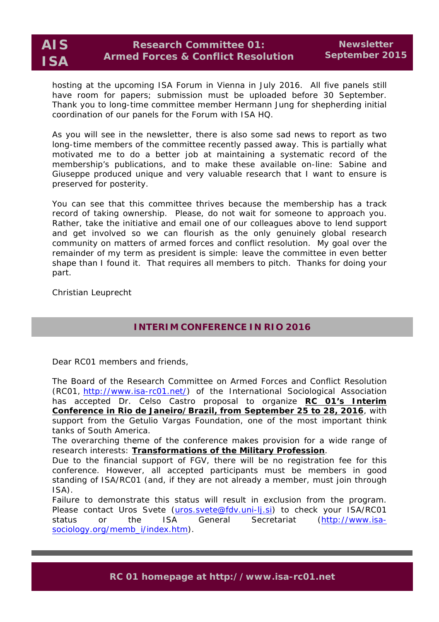

hosting at the upcoming ISA Forum in Vienna in July 2016. All five panels still have room for papers; submission must be uploaded before 30 September. Thank you to long-time committee member Hermann Jung for shepherding initial coordination of our panels for the Forum with ISA HQ.

As you will see in the newsletter, there is also some sad news to report as two long-time members of the committee recently passed away. This is partially what motivated me to do a better job at maintaining a systematic record of the membership's publications, and to make these available on-line: Sabine and Giuseppe produced unique and very valuable research that I want to ensure is preserved for posterity.

You can see that this committee thrives because the membership has a track record of taking ownership. Please, do not wait for someone to approach you. Rather, take the initiative and email one of our colleagues above to lend support and get involved so we can flourish as the only genuinely global research community on matters of armed forces and conflict resolution. My goal over the remainder of my term as president is simple: leave the committee in even better shape than I found it. That requires all members to pitch. Thanks for doing your part.

Christian Leuprecht

# **INTERIM CONFERENCE IN RIO 2016**

Dear RC01 members and friends,

The Board of the Research Committee on Armed Forces and Conflict Resolution (RC01, http://www.isa-rc01.net/) of the International Sociological Association has accepted Dr. Celso Castro proposal to organize **RC 01's Interim Conference in Rio de Janeiro/Brazil, from September 25 to 28, 2016**, with support from the Getulio Vargas Foundation, one of the most important think tanks of South America.

The overarching theme of the conference makes provision for a wide range of research interests: **Transformations of the Military Profession**.

Due to the financial support of FGV, there will be no registration fee for this conference. However, all accepted participants must be members in good standing of ISA/RC01 (and, if they are not already a member, must join through ISA).

Failure to demonstrate this status will result in exclusion from the program. Please contact Uros Svete (uros.svete@fdv.uni-lj.si) to check your ISA/RC01 status or the ISA General Secretariat (http://www.isasociology.org/memb\_i/index.htm).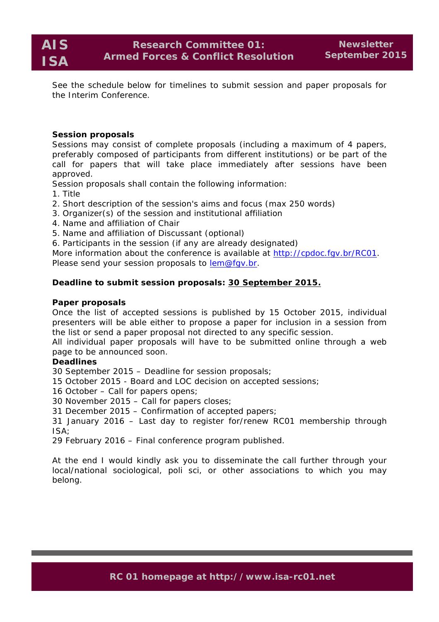See the schedule below for timelines to submit session and paper proposals for the Interim Conference.

## **Session proposals**

Sessions may consist of complete proposals (including a maximum of 4 papers, preferably composed of participants from different institutions) or be part of the call for papers that will take place immediately after sessions have been approved.

Session proposals shall contain the following information:

- 1. Title
- 2. Short description of the session's aims and focus (max 250 words)
- 3. Organizer(s) of the session and institutional affiliation
- 4. Name and affiliation of Chair
- 5. Name and affiliation of Discussant (optional)
- 6. Participants in the session (if any are already designated)

More information about the conference is available at http://cpdoc.fgv.br/RC01. Please send your session proposals to lem@fgv.br.

## **Deadline to submit session proposals: 30 September 2015.**

#### **Paper proposals**

Once the list of accepted sessions is published by 15 October 2015, individual presenters will be able either to propose a paper for inclusion in a session from the list or send a paper proposal not directed to any specific session.

All individual paper proposals will have to be submitted online through a web page to be announced soon.

## **Deadlines**

30 September 2015 – Deadline for session proposals;

15 October 2015 - Board and LOC decision on accepted sessions;

16 October – Call for papers opens;

30 November 2015 – Call for papers closes;

31 December 2015 – Confirmation of accepted papers;

31 January 2016 – Last day to register for/renew RC01 membership through ISA;

29 February 2016 – Final conference program published.

At the end I would kindly ask you to disseminate the call further through your local/national sociological, poli sci, or other associations to which you may belong.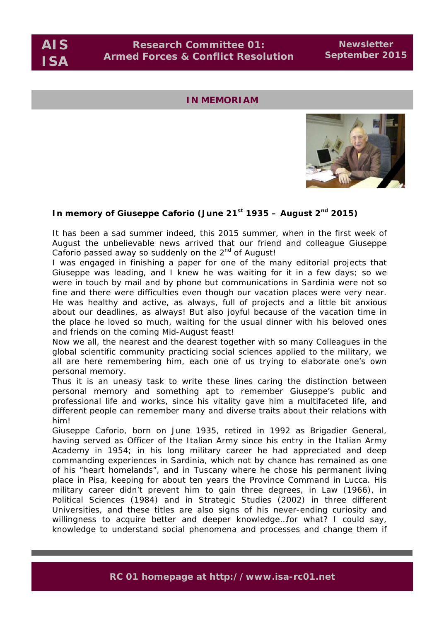**AIS**

**ISA**

**Newsletter September 2015**

## **IN MEMORIAM**



## **In memory of Giuseppe Caforio (June 21st 1935 – August 2nd 2015)**

It has been a sad summer indeed, this 2015 summer, when in the first week of August the unbelievable news arrived that our friend and colleague Giuseppe Caforio passed away so suddenly on the 2<sup>nd</sup> of August!

I was engaged in finishing a paper for one of the many editorial projects that Giuseppe was leading, and I knew he was waiting for it in a few days; so we were in touch by mail and by phone but communications in Sardinia were not so fine and there were difficulties even though our vacation places were very near. He was healthy and active, as always, full of projects and a little bit anxious about our deadlines, as always! But also joyful because of the vacation time in the place he loved so much, waiting for the usual dinner with his beloved ones and friends on the coming Mid-August feast!

Now we all, the nearest and the dearest together with so many Colleagues in the global scientific community practicing social sciences applied to the military, we all are here remembering him, each one of us trying to elaborate one's own personal memory.

Thus it is an uneasy task to write these lines caring the distinction between personal memory and something apt to remember Giuseppe's public and professional life and works, since his vitality gave him a multifaceted life, and different people can remember many and diverse traits about their relations with him!

Giuseppe Caforio, born on June 1935, retired in 1992 as Brigadier General, having served as Officer of the Italian Army since his entry in the Italian Army Academy in 1954; in his long military career he had appreciated and deep commanding experiences in Sardinia, which not by chance has remained as one of his "heart homelands", and in Tuscany where he chose his permanent living place in Pisa, keeping for about ten years the Province Command in Lucca. His military career didn't prevent him to gain three degrees, in Law (1966), in Political Sciences (1984) and in Strategic Studies (2002) in three different Universities, and these titles are also signs of his never-ending curiosity and willingness to acquire better and deeper knowledge...for what? I could say, knowledge to understand social phenomena and processes and change them if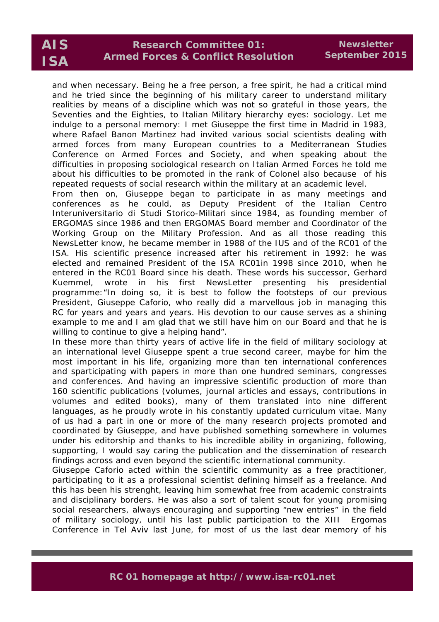and when necessary. Being he a free person, a free spirit, he had a critical mind and he tried since the beginning of his military career to understand military realities by means of a discipline which was not so grateful in those years, the Seventies and the Eighties, to Italian Military hierarchy eyes: sociology. Let me indulge to a personal memory: I met Giuseppe the first time in Madrid in 1983, where Rafael Banon Martinez had invited various social scientists dealing with armed forces from many European countries to a Mediterranean Studies Conference on Armed Forces and Society, and when speaking about the difficulties in proposing sociological research on Italian Armed Forces he told me about his difficulties to be promoted in the rank of Colonel also because of his repeated requests of social research within the military at an academic level.

From then on, Giuseppe began to participate in as many meetings and conferences as he could, as Deputy President of the Italian Centro Interuniversitario di Studi Storico-Militari since 1984, as founding member of ERGOMAS since 1986 and then ERGOMAS Board member and Coordinator of the Working Group on the Military Profession. And as all those reading this NewsLetter know, he became member in 1988 of the IUS and of the RC01 of the ISA. His scientific presence increased after his retirement in 1992: he was elected and remained President of the ISA RC01in 1998 since 2010, when he entered in the RC01 Board since his death. These words his successor, Gerhard Kuemmel, wrote in his first NewsLetter presenting his presidential programme:*"In doing so, it is best to follow the footsteps of our previous President, Giuseppe Caforio, who really did a marvellous job in managing this RC for years and years and years. His devotion to our cause serves as a shining example to me and I am glad that we still have him on our Board and that he is willing to continue to give a helping hand".*

In these more than thirty years of active life in the field of military sociology at an international level Giuseppe spent a true second career, maybe for him the most important in his life, organizing more than ten international conferences and sparticipating with papers in more than one hundred seminars, congresses and conferences. And having an impressive scientific production of more than 160 scientific publications (volumes, journal articles and essays, contributions in volumes and edited books), many of them translated into nine different languages, as he proudly wrote in his constantly updated curriculum vitae. Many of us had a part in one or more of the many research projects promoted and coordinated by Giuseppe, and have published something somewhere in volumes under his editorship and thanks to his incredible ability in organizing, following, supporting, I would say *caring* the publication and the dissemination of research findings across and even beyond the scientific international community.

Giuseppe Caforio acted within the scientific community as a free practitioner, participating to it as a professional scientist defining himself as a freelance. And this has been his strenght, leaving him somewhat free from academic constraints and disciplinary borders. He was also a sort of talent scout for young promising social researchers, always encouraging and supporting "new entries" in the field of military sociology, until his last public participation to the XIII Ergomas Conference in Tel Aviv last June, for most of us the last dear memory of his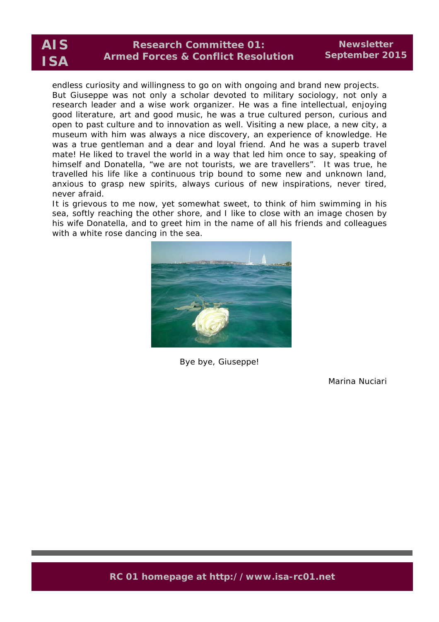endless curiosity and willingness to go on with ongoing and brand new projects. But Giuseppe was not only a scholar devoted to military sociology, not only a research leader and a wise work organizer. He was a fine intellectual, enjoying good literature, art and good music, he was a true cultured person, curious and open to past culture and to innovation as well. Visiting a new place, a new city, a museum with him was always a nice discovery, an experience of knowledge. He was a true gentleman and a dear and loyal friend. And he was a superb travel mate! He liked to travel the world in a way that led him once to say, speaking of himself and Donatella, "we are not tourists, we are travellers". It was true, he travelled his life like a continuous trip bound to some new and unknown land, anxious to grasp new spirits, always curious of new inspirations, never tired, never afraid.

It is grievous to me now, yet somewhat sweet, to think of him swimming in his sea, softly reaching the other shore, and I like to close with an image chosen by his wife Donatella, and to greet him in the name of all his friends and colleagues with a white rose dancing in the sea.



Bye bye, Giuseppe!

Marina Nuciari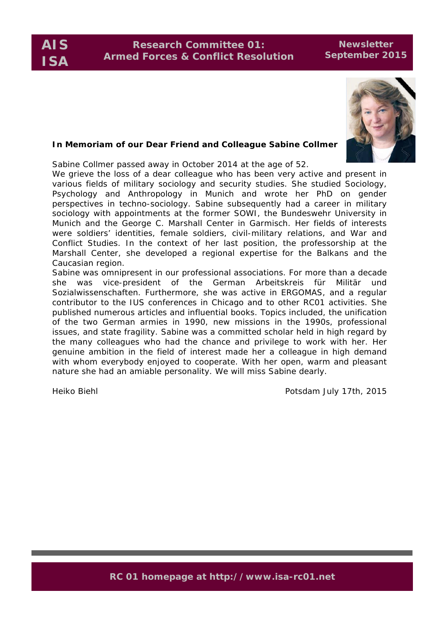# **Research Committee 01: Armed Forces & Conflict Resolution**

## **Newsletter September 2015**



## **In Memoriam of our Dear Friend and Colleague Sabine Collmer**

Sabine Collmer passed away in October 2014 at the age of 52.

We grieve the loss of a dear colleague who has been very active and present in various fields of military sociology and security studies. She studied Sociology, Psychology and Anthropology in Munich and wrote her PhD on gender perspectives in techno-sociology. Sabine subsequently had a career in military sociology with appointments at the former SOWI, the Bundeswehr University in Munich and the George C. Marshall Center in Garmisch. Her fields of interests were soldiers' identities, female soldiers, civil-military relations, and War and Conflict Studies. In the context of her last position, the professorship at the Marshall Center, she developed a regional expertise for the Balkans and the Caucasian region.

Sabine was omnipresent in our professional associations. For more than a decade she was vice-president of the German *Arbeitskreis für Militär und Sozialwissenschaften*. Furthermore, she was active in ERGOMAS, and a regular contributor to the IUS conferences in Chicago and to other RC01 activities. She published numerous articles and influential books. Topics included, the unification of the two German armies in 1990, new missions in the 1990s, professional issues, and state fragility. Sabine was a committed scholar held in high regard by the many colleagues who had the chance and privilege to work with her. Her genuine ambition in the field of interest made her a colleague in high demand with whom everybody enjoyed to cooperate. With her open, warm and pleasant nature she had an amiable personality. We will miss Sabine dearly.

Heiko Biehl Potsdam July 17th, 2015 Potsdam July 17th, 2015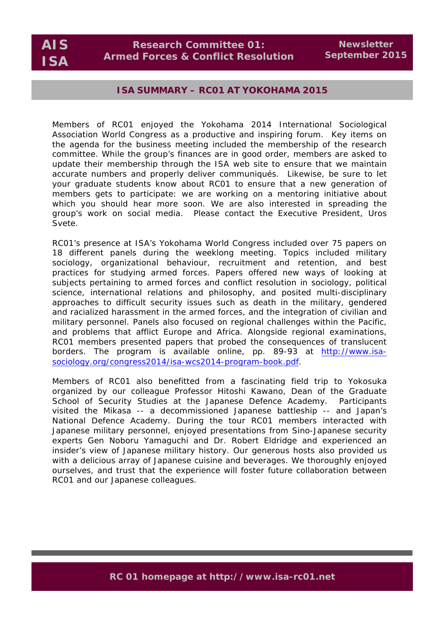**Newsletter September 2015**

## **ISA SUMMARY – RC01 AT YOKOHAMA 2015**

Members of RC01 enjoyed the Yokohama 2014 International Sociological Association World Congress as a productive and inspiring forum. Key items on the agenda for the business meeting included the membership of the research committee. While the group's finances are in good order, members are asked to update their membership through the ISA web site to ensure that we maintain accurate numbers and properly deliver communiqués. Likewise, be sure to let your graduate students know about RC01 to ensure that a new generation of members gets to participate: we are working on a mentoring initiative about which you should hear more soon. We are also interested in spreading the group's work on social media. Please contact the Executive President, Uros Svete.

RC01's presence at ISA's Yokohama World Congress included over 75 papers on 18 different panels during the weeklong meeting. Topics included military sociology, organizational behaviour, recruitment and retention, and best practices for studying armed forces. Papers offered new ways of looking at subjects pertaining to armed forces and conflict resolution in sociology, political science, international relations and philosophy, and posited multi-disciplinary approaches to difficult security issues such as death in the military, gendered and racialized harassment in the armed forces, and the integration of civilian and military personnel. Panels also focused on regional challenges within the Pacific, and problems that afflict Europe and Africa. Alongside regional examinations, RC01 members presented papers that probed the consequences of translucent borders. The program is available online, pp. 89-93 at http://www.isasociology.org/congress2014/isa-wcs2014-program-book.pdf.

Members of RC01 also benefitted from a fascinating field trip to Yokosuka organized by our colleague Professor Hitoshi Kawano, Dean of the Graduate School of Security Studies at the Japanese Defence Academy. Participants visited the Mikasa -- a decommissioned Japanese battleship -- and Japan's National Defence Academy. During the tour RC01 members interacted with Japanese military personnel, enjoyed presentations from Sino-Japanese security experts Gen Noboru Yamaguchi and Dr. Robert Eldridge and experienced an insider's view of Japanese military history. Our generous hosts also provided us with a delicious array of Japanese cuisine and beverages. We thoroughly enjoyed ourselves, and trust that the experience will foster future collaboration between RC01 and our Japanese colleagues.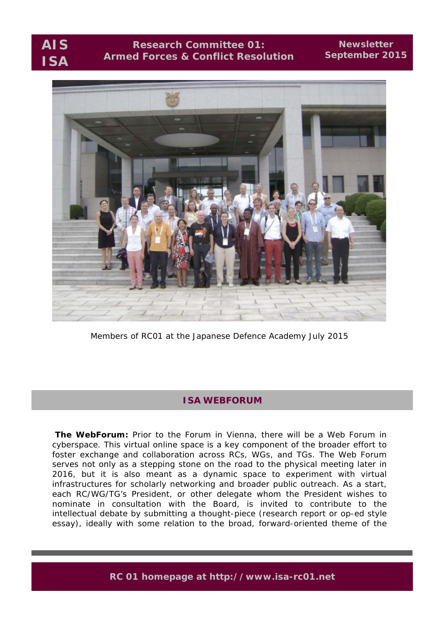# **Research Committee 01: Armed Forces & Conflict Resolution**

## **Newsletter September 2015**



Members of RC01 at the Japanese Defence Academy July 2015

# **ISA WEBFORUM**

**The WebForum:** Prior to the Forum in Vienna, there will be a Web Forum in cyberspace. This virtual online space is a key component of the broader effort to foster exchange and collaboration across RCs, WGs, and TGs. The Web Forum serves not only as a stepping stone on the road to the physical meeting later in 2016, but it is also meant as a dynamic space to experiment with virtual infrastructures for scholarly networking and broader public outreach. As a start, each RC/WG/TG's President, or other delegate whom the President wishes to nominate in consultation with the Board, is invited to contribute to the intellectual debate by submitting a thought-piece (research report or op-ed style essay), ideally with some relation to the broad, forward-oriented theme of the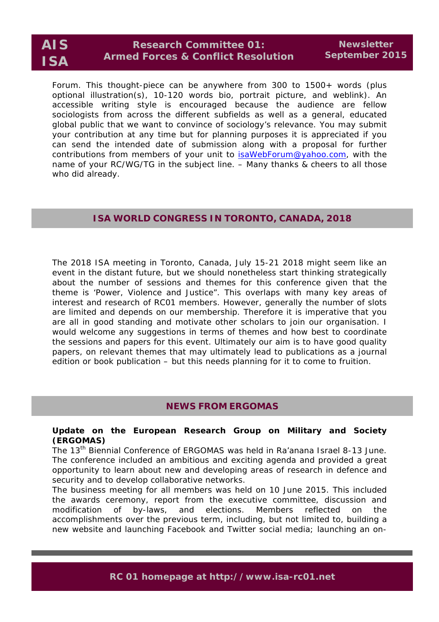# **Research Committee 01: Armed Forces & Conflict Resolution**

Forum. This thought-piece can be anywhere from 300 to 1500+ words (plus optional illustration(s), 10-120 words bio, portrait picture, and weblink). An accessible writing style is encouraged because the audience are fellow sociologists from across the different subfields as well as a general, educated global public that we want to convince of sociology's relevance. You may submit your contribution at any time but for planning purposes it is appreciated if you can send the intended date of submission along with a proposal for further contributions from members of your unit to isaWebForum@yahoo.com, with the name of your RC/WG/TG in the subject line. – Many thanks & cheers to all those who did already.

## **ISA WORLD CONGRESS IN TORONTO, CANADA, 2018**

The 2018 ISA meeting in Toronto, Canada, July 15-21 2018 might seem like an event in the distant future, but we should nonetheless start thinking strategically about the number of sessions and themes for this conference given that the theme is 'Power, Violence and Justice". This overlaps with many key areas of interest and research of RC01 members. However, generally the number of slots are limited and depends on our membership. Therefore it is imperative that you are all in good standing and motivate other scholars to join our organisation. I would welcome any suggestions in terms of themes and how best to coordinate the sessions and papers for this event. Ultimately our aim is to have good quality papers, on relevant themes that may ultimately lead to publications as a journal edition or book publication – but this needs planning for it to come to fruition.

## **NEWS FROM ERGOMAS**

## **Update on the European Research Group on Military and Society (ERGOMAS)**

The 13<sup>th</sup> Biennial Conference of ERGOMAS was held in Ra'anana Israel 8-13 June. The conference included an ambitious and exciting agenda and provided a great opportunity to learn about new and developing areas of research in defence and security and to develop collaborative networks.

The business meeting for all members was held on 10 June 2015. This included the awards ceremony, report from the executive committee, discussion and modification of by-laws, and elections. Members reflected on the accomplishments over the previous term, including, but not limited to, building a new website and launching Facebook and Twitter social media; launching an on-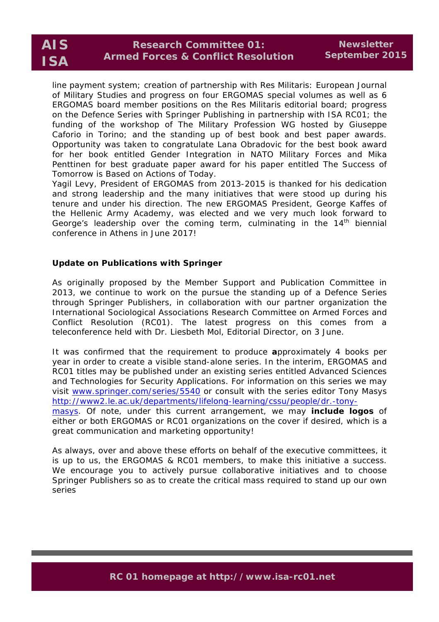line payment system; creation of partnership with *Res Militaris: European Journal of Military Studies* and progress on four ERGOMAS special volumes as well as 6 ERGOMAS board member positions on the *Res Militaris* editorial board; progress on the Defence Series with Springer Publishing in partnership with ISA RC01; the funding of the workshop of The Military Profession WG hosted by Giuseppe Caforio in Torino; and the standing up of best book and best paper awards. Opportunity was taken to congratulate Lana Obradovic for the best book award for her book entitled *Gender Integration in NATO Military Forces* and Mika Penttinen for best graduate paper award for his paper entitled *The Success of Tomorrow is Based on Actions of Today*.

Yagil Levy, President of ERGOMAS from 2013-2015 is thanked for his dedication and strong leadership and the many initiatives that were stood up during his tenure and under his direction. The new ERGOMAS President, George Kaffes of the Hellenic Army Academy, was elected and we very much look forward to George's leadership over the coming term, culminating in the  $14<sup>th</sup>$  biennial conference in Athens in June 2017!

## **Update on Publications with Springer**

As originally proposed by the Member Support and Publication Committee in 2013, we continue to work on the pursue the standing up of a Defence Series through Springer Publishers, in collaboration with our partner organization the International Sociological Associations Research Committee on Armed Forces and Conflict Resolution (RC01). The latest progress on this comes from a teleconference held with Dr. Liesbeth Mol, Editorial Director, on 3 June.

It was confirmed that the requirement to produce **a**pproximately 4 books per year in order to create a visible stand-alone series. In the interim, ERGOMAS and RC01 titles may be published under an existing series entitled *Advanced Sciences and Technologies for Security Applications.* For information on this series we may visit www.springer.com/series/5540 or consult with the series editor Tony Masys http://www2.le.ac.uk/departments/lifelong-learning/cssu/people/dr.-tonymasys. Of note, under this current arrangement, we may **include logos** of either or both ERGOMAS or RC01 organizations on the cover if desired, which is a great communication and marketing opportunity!

As always, over and above these efforts on behalf of the executive committees, it is up to us, the ERGOMAS & RC01 members, to make this initiative a success. We encourage you to actively pursue collaborative initiatives and to choose Springer Publishers so as to create the critical mass required to stand up our own series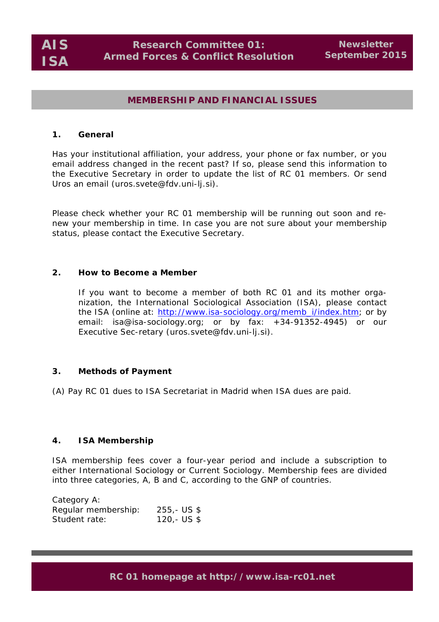## **MEMBERSHIP AND FINANCIAL ISSUES**

### **1. General**

Has your institutional affiliation, your address, your phone or fax number, or you email address changed in the recent past? If so, please send this information to the Executive Secretary in order to update the list of RC 01 members. Or send Uros an email (uros.svete@fdv.uni-lj.si).

Please check whether your RC 01 membership will be running out soon and renew your membership in time. In case you are not sure about your membership status, please contact the Executive Secretary.

## **2. How to Become a Member**

If you want to become a member of both RC 01 and its mother organization, the International Sociological Association (ISA), please contact the ISA (online at: http://www.isa-sociology.org/memb\_i/index.htm; or by email: isa@isa-sociology.org; or by fax: +34-91352-4945) or our Executive Sec-retary (uros.svete@fdv.uni-lj.si).

#### **3. Methods of Payment**

(A) Pay RC 01 dues to ISA Secretariat in Madrid when ISA dues are paid.

## **4. ISA Membership**

ISA membership fees cover a four-year period and include a subscription to either *International Sociology* or *Current Sociology*. Membership fees are divided into three categories, A, B and C, according to the GNP of countries.

| Category A:         |              |
|---------------------|--------------|
| Regular membership: | $255 - US $$ |
| Student rate:       | 120,- US $$$ |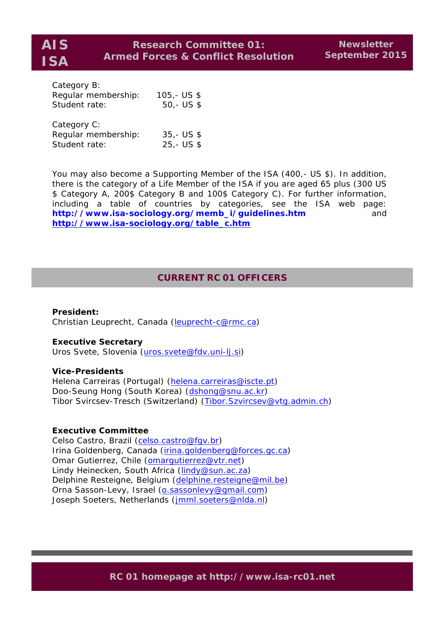| Category B:         |              |
|---------------------|--------------|
| Regular membership: | $105 - US $$ |
| Student rate:       | $50 - US$ \$ |
| Category C:         |              |
| Regular membership: | $35 - US $$  |
| Student rate:       | $25 - US $$  |

You may also become a Supporting Member of the ISA (400,- US \$). In addition, there is the category of a Life Member of the ISA if you are aged 65 plus (300 US \$ Category A, 200\$ Category B and 100\$ Category C). For further information, including a table of countries by categories, see the ISA web page: **http://www.isa-sociology.org/memb\_i/guidelines.htm** and **http://www.isa-sociology.org/table\_c.htm**

## **CURRENT RC 01 OFFICERS**

#### **President:**

Christian Leuprecht, Canada (leuprecht-c@rmc.ca)

#### **Executive Secretary**

Uros Svete, Slovenia (uros.svete@fdv.uni-lj.si)

#### **Vice-Presidents**

Helena Carreiras (Portugal) (helena.carreiras@iscte.pt) Doo-Seung Hong (South Korea) (dshong@snu.ac.kr) Tibor Svircsev-Tresch (Switzerland) (Tibor.Szvircsev@vtg.admin.ch)

## **Executive Committee**

Celso Castro, Brazil (celso.castro@fgv.br) Irina Goldenberg, Canada (irina.goldenberg@forces.gc.ca) Omar Gutierrez, Chile (omarqutierrez@vtr.net) Lindy Heinecken, South Africa (lindy@sun.ac.za) Delphine Resteigne, Belgium (delphine.resteigne@mil.be) Orna Sasson-Levy, Israel (o.sassonlevy@gmail.com) Joseph Soeters, Netherlands (jmml.soeters@nlda.nl)